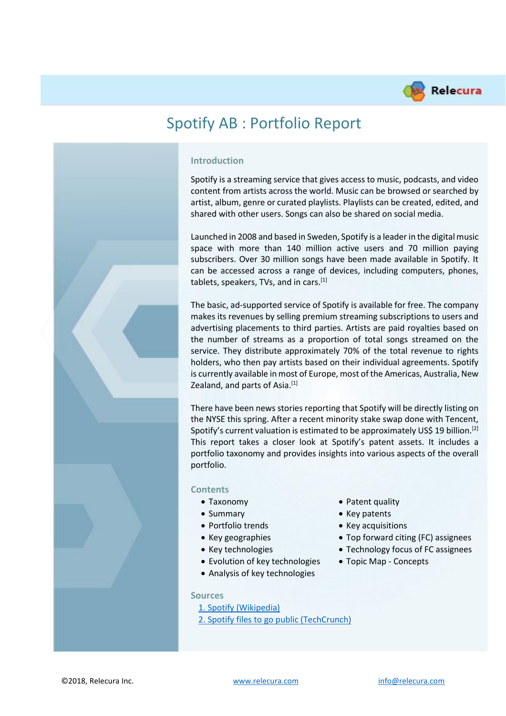

# Spotify AB : Portfolio Report



### **Introduction**

Spotify is a streaming service that gives access to music, podcasts, and video content from artists across the world. Music can be browsed or searched by artist, album, genre or curated playlists. Playlists can be created, edited, and shared with other users. Songs can also be shared on social media.

Launched in 2008 and based in Sweden, Spotify is a leader in the digital music space with more than 140 million active users and 70 million paying subscribers. Over 30 million songs have been made available in Spotify. It can be accessed across a range of devices, including computers, phones, tablets, speakers, TVs, and in cars.<sup>[1]</sup>

The basic, ad-supported service of Spotify is available for free. The company makes its revenues by selling premium streaming subscriptions to users and advertising placements to third parties. Artists are paid royalties based on the number of streams as a proportion of total songs streamed on the service. They distribute approximately 70% of the total revenue to rights holders, who then pay artists based on their individual agreements. Spotify is currently available in most of Europe, most of the Americas, Australia, New Zealand, and parts of Asia.<sup>[1]</sup>

There have been news stories reporting that Spotify will be directly listing on the NYSE this spring. After a recent minority stake swap done with Tencent, Spotify's current valuation is estimated to be approximately US\$ 19 billion.<sup>[2]</sup> This report takes a closer look at Spotify's patent assets. It includes a portfolio taxonomy and provides insights into various aspects of the overall portfolio.

#### **Contents**

- 
- 
- Portfolio trends Key acquisitions
- 
- 
- Evolution of key technologies Topic Map Concepts
- Analysis of key technologies

#### **Sources**

- [1. Spotify \(Wikipedia\)](https://en.wikipedia.org/wiki/Spotify)
- [2. Spotify files to go public \(TechCrunch\)](https://techcrunch.com/2018/01/03/spotify-files-to-go-public/)
- Taxonomy Patent quality
- Summary Key patents
	-
- Key geographies Top forward citing (FC) assignees
- Key technologies Technology focus of FC assignees
	-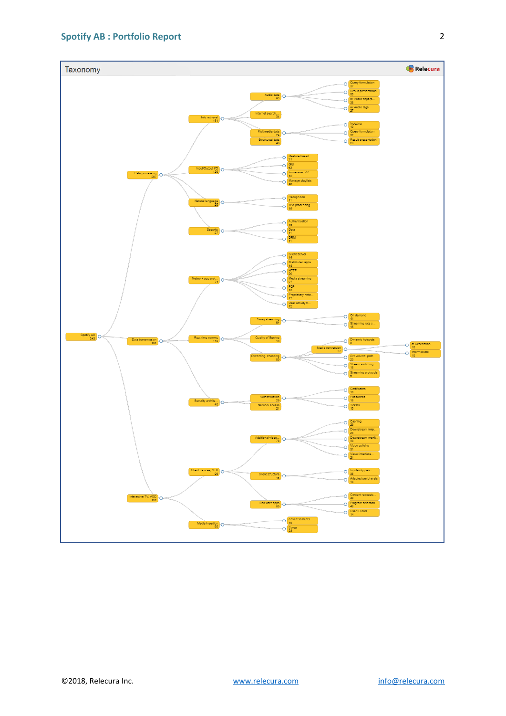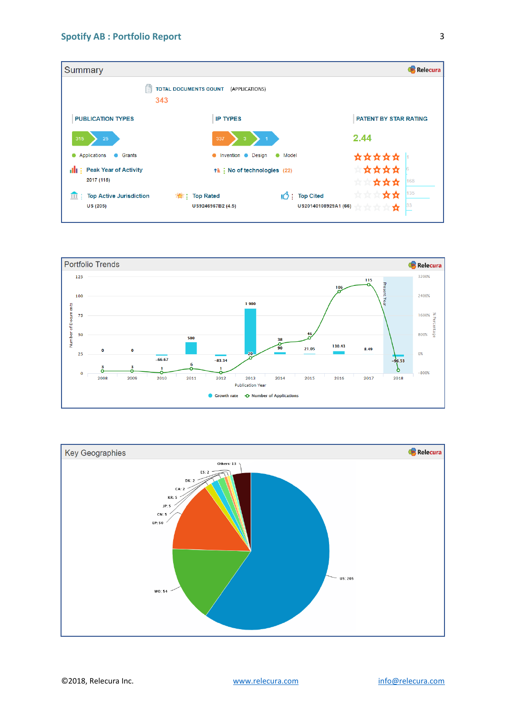



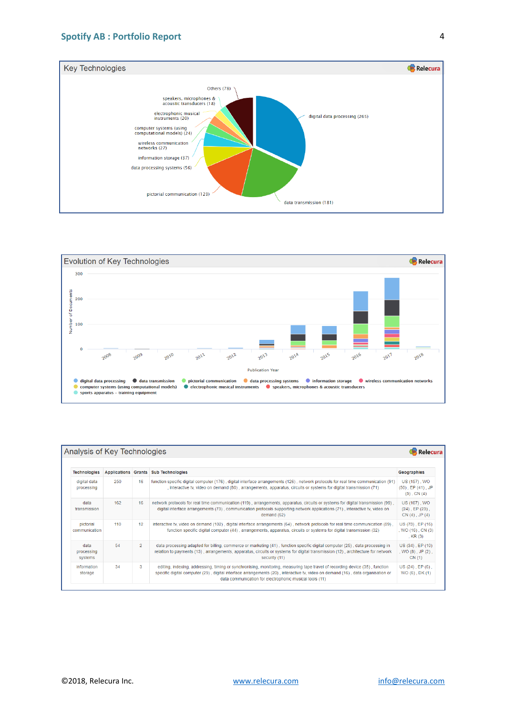



| Analysis of Key Technologies  |     |                |                                                                                                                                                                                                                                                                                                                            |                                                             |  |  |
|-------------------------------|-----|----------------|----------------------------------------------------------------------------------------------------------------------------------------------------------------------------------------------------------------------------------------------------------------------------------------------------------------------------|-------------------------------------------------------------|--|--|
| <b>Technologies</b>           |     |                | Applications Grants Sub Technologies                                                                                                                                                                                                                                                                                       | Geographies                                                 |  |  |
| digital data<br>processing    | 250 | 16             | function specific digital computer (176), digital interface arrangements (126), network protocols for real time communication (91)<br>, interactive tv, video on demand (80), arrangements, apparatus, circuits or systems for digital transmission (71)                                                                   | US (157), WO<br>$(50)$ , EP $(41)$ , JP<br>$(5)$ , CN $(4)$ |  |  |
| data<br>transmission          | 162 | 16             | network protocols for real time communication (119), arrangements, apparatus, circuits or systems for digital transmission (99),<br>digital interface arrangements (73), communication protocols supporting network applications (71), interactive tv, video on<br>demand (62)                                             | US (107), WO<br>$(24)$ , EP $(23)$ ,<br>$CN(4)$ , JP $(4)$  |  |  |
| pictorial<br>communication    | 110 | 12             | interactive tv, video on demand (102), digital interface arrangements (64), network protocols for real time communication (59),<br>function specific digital computer (44), arrangements, apparatus, circuits or systems for digital transmission (32)                                                                     | US (73), EP (16)<br>, WO (16) , CN (3)<br>, $KR(3)$         |  |  |
| data<br>processing<br>systems | 54  | $\overline{2}$ | data processing adapted for billing, commerce or marketing (41), function specific digital computer (25), data processing in<br>relation to payments (13), arrangements, apparatus, circuits or systems for digital transmission (12), architecture for network<br>security (11)                                           | US (34), EP (10)<br>, $WO(8)$ , $JP(2)$ ,<br>CN(1)          |  |  |
| information<br>storage        | 34  | 3              | editing, indexing, addressing, timing or synchronising, monitoring, measuring tape travel of recording device (35), function<br>specific digital computer (29), digital interface arrangements (20), interactive tv, video on demand (16), data organisation or<br>data communication for electrophonic musical tools (11) | US (24), EP (6),<br>WO (6), DK (1)                          |  |  |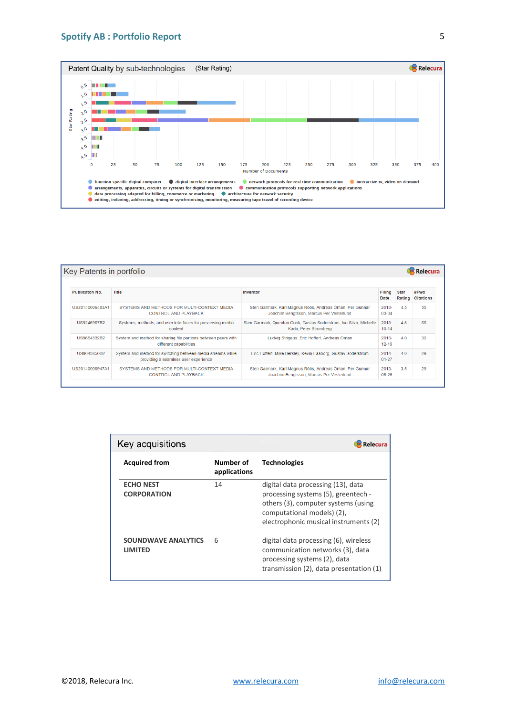## **Spotify AB : Portfolio Report**



| Key Patents in portfolio<br>Relecura |                                                                                        |                                                                                                     |                                                                                                      |                       |                       |                          |  |  |
|--------------------------------------|----------------------------------------------------------------------------------------|-----------------------------------------------------------------------------------------------------|------------------------------------------------------------------------------------------------------|-----------------------|-----------------------|--------------------------|--|--|
|                                      |                                                                                        |                                                                                                     |                                                                                                      |                       |                       |                          |  |  |
| <b>Publicaton No.</b>                |                                                                                        | <b>Title</b>                                                                                        | Inventor                                                                                             | Filing<br>Date        | <b>Star</b><br>Rating | #Fwd<br><b>Citations</b> |  |  |
|                                      | SYSTEMS AND METHODS FOR MULTI-CONTEXT MEDIA<br>US20140006483A1<br>CONTROL AND PLAYBACK |                                                                                                     | Sten Garmark, Karl Magnus Röös, Andreas Öman, Per Gunnar<br>Joachim Bengtsson, Marcus Per Vesterlund | $2013 -$<br>$03-04$   | 4.5                   | 55                       |  |  |
|                                      | LIS9246967B2                                                                           | Systems, methods, and user interfaces for previewing media<br>content                               | Sten Garmark, Quenton Cook, Gustay Soderstrom, Ivo Silva, Michelle<br>Kadir, Peter Stromberg         | $2013 -$<br>$10 - 14$ | 45                    | 66                       |  |  |
|                                      | US9654532B2                                                                            | System and method for sharing file portions between peers with<br>different capabilities            | Ludvig Strigeus, Eric Hoffert, Andreas Oman                                                          | $2013 -$<br>$12 - 19$ | 40                    | 32                       |  |  |
|                                      | US9043850B2                                                                            | System and method for switching between media streams while<br>providing a seamless user experience | Eric Hoffert, Mike Berkley, Kevin Faaborg, Gustav Soderstrom                                         | $2014 -$<br>$01 - 27$ | 40                    | 29                       |  |  |
|                                      | US20140006947A1                                                                        | SYSTEMS AND METHODS FOR MULTI-CONTEXT MEDIA<br><b>CONTROL AND PLAYBACK</b>                          | Sten Garmark, Karl Magnus Röös, Andreas Öman, Per Gunnar<br>Joachim Bengtsson, Marcus Per Vesterlund | $2013 -$<br>$06 - 26$ | 3.5                   | 29                       |  |  |

| Key acquisitions<br>Relecura           |                           |                                                                                                                                                                                         |  |  |  |  |
|----------------------------------------|---------------------------|-----------------------------------------------------------------------------------------------------------------------------------------------------------------------------------------|--|--|--|--|
| <b>Acquired from</b>                   | Number of<br>applications | <b>Technologies</b>                                                                                                                                                                     |  |  |  |  |
| <b>ECHO NEST</b><br><b>CORPORATION</b> | 14                        | digital data processing (13), data<br>processing systems (5), greentech -<br>others (3), computer systems (using<br>computational models) (2),<br>electrophonic musical instruments (2) |  |  |  |  |
| SOUNDWAVE ANALYTICS<br>LIMITED         | 6                         | digital data processing (6), wireless<br>communication networks (3), data<br>processing systems (2), data<br>transmission $(2)$ , data presentation $(1)$                               |  |  |  |  |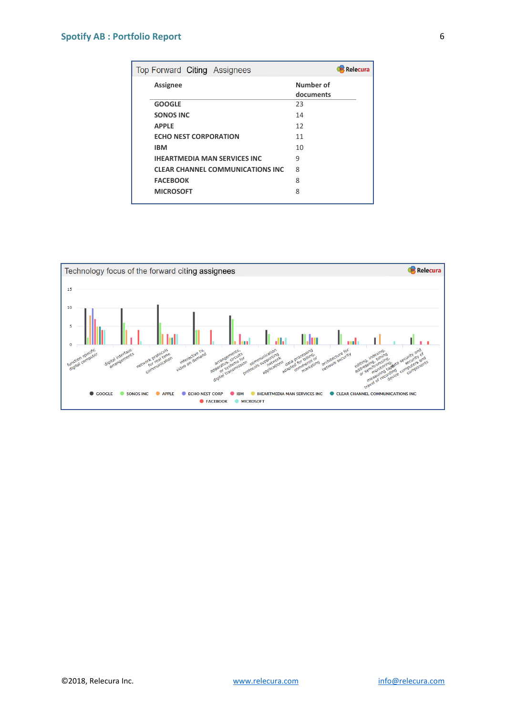# **Spotify AB : Portfolio Report**

| Top Forward Citing Assignees            | <b>Relecura</b>        |
|-----------------------------------------|------------------------|
| <b>Assignee</b>                         | Number of<br>documents |
| <b>GOOGLE</b>                           | 23                     |
| <b>SONOS INC</b>                        | 14                     |
| <b>APPLE</b>                            | 12                     |
| <b>ECHO NEST CORPORATION</b>            | 11                     |
| <b>IBM</b>                              | 10                     |
| <b>IHEARTMEDIA MAN SERVICES INC</b>     | 9                      |
| <b>CLEAR CHANNEL COMMUNICATIONS INC</b> | 8                      |
| <b>FACEBOOK</b>                         | 8                      |
| <b>MICROSOFT</b>                        | 8                      |

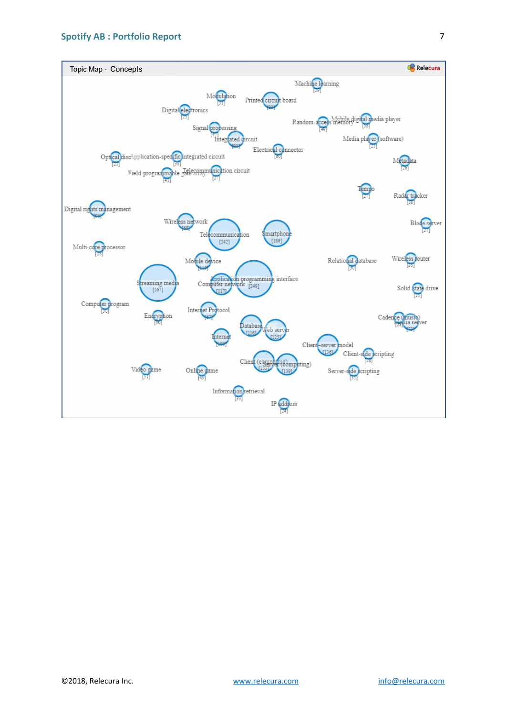